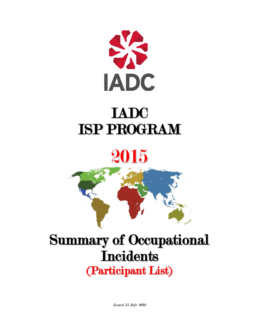

## 2015



## Summary of Occupational **Incidents** (Participant List)

Issued 15 July 2016